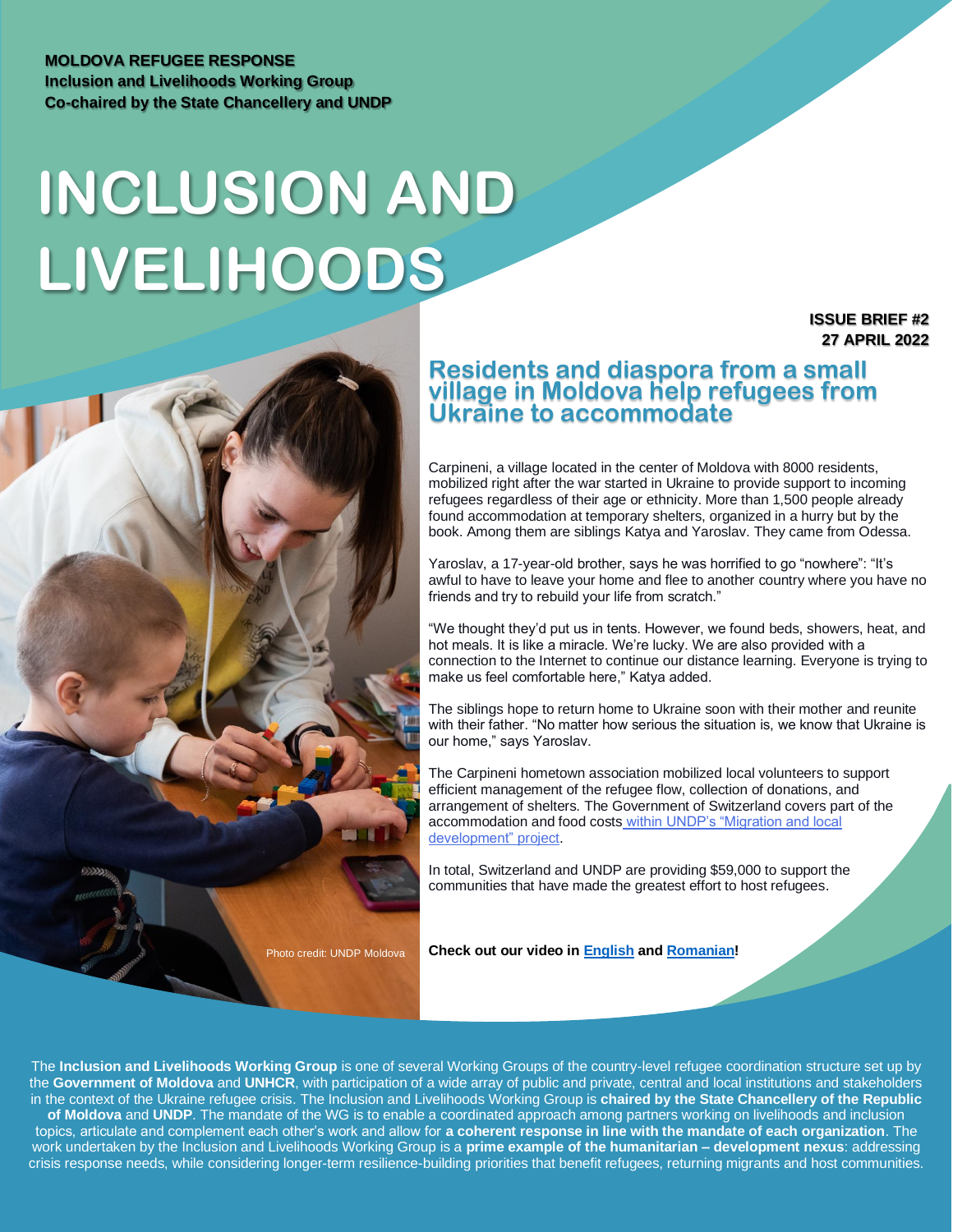#### **MOLDOVA REFUGEE RESPONSE Inclusion and Livelihoods Working Group Co-chaired by the State Chancellery and UNDP**

# **INCLUSION AND LIVELIHOODS**

**ISSUE BRIEF #2 27 APRIL 2022**

### **Residents and diaspora from a small village in Moldova help refugees from Ukraine to accommodate**

Carpineni, a village located in the center of Moldova with 8000 residents, mobilized right after the war started in Ukraine to provide support to incoming refugees regardless of their age or ethnicity. More than 1,500 people already found accommodation at temporary shelters, organized in a hurry but by the book. Among them are siblings Katya and Yaroslav. They came from Odessa.

Yaroslav, a 17-year-old brother, says he was horrified to go "nowhere": "It's awful to have to leave your home and flee to another country where you have no friends and try to rebuild your life from scratch."

"We thought they'd put us in tents. However, we found beds, showers, heat, and hot meals. It is like a miracle. We're lucky. We are also provided with a connection to the Internet to continue our distance learning. Everyone is trying to make us feel comfortable here," Katya added.

The siblings hope to return home to Ukraine soon with their mother and reunite with their father. "No matter how serious the situation is, we know that Ukraine is our home," says Yaroslav.

The Carpineni hometown association mobilized local volunteers to support efficient management of the refugee flow, collection of donations, and arrangement of shelters. The Government of Switzerland covers part of the accommodation and food costs [within UNDP's "Migration and local](https://eur03.safelinks.protection.outlook.com/?url=https%3A%2F%2Fwww.md.undp.org%2Fcontent%2Fmoldova%2Fen%2Fhome%2Fpresscenter%2Fpressreleases%2F2022%2Felve_ia-_i-pnud-susin-comunitile-locale-s-ajute-refugiaii-din-uc.html&data=05%7C01%7Cioana.creitaru%40undp.org%7C53f4e0f964c7427e393008da2826e8f2%7Cb3e5db5e2944483799f57488ace54319%7C0%7C0%7C637866444818634115%7CUnknown%7CTWFpbGZsb3d8eyJWIjoiMC4wLjAwMDAiLCJQIjoiV2luMzIiLCJBTiI6Ik1haWwiLCJXVCI6Mn0%3D%7C3000%7C%7C%7C&sdata=kHiHVbFCBPKDz0aeUJldH8woDqmwiYcmzXtUsKQvvRA%3D&reserved=0)  [development"](https://eur03.safelinks.protection.outlook.com/?url=https%3A%2F%2Fwww.md.undp.org%2Fcontent%2Fmoldova%2Fen%2Fhome%2Fpresscenter%2Fpressreleases%2F2022%2Felve_ia-_i-pnud-susin-comunitile-locale-s-ajute-refugiaii-din-uc.html&data=05%7C01%7Cioana.creitaru%40undp.org%7C53f4e0f964c7427e393008da2826e8f2%7Cb3e5db5e2944483799f57488ace54319%7C0%7C0%7C637866444818634115%7CUnknown%7CTWFpbGZsb3d8eyJWIjoiMC4wLjAwMDAiLCJQIjoiV2luMzIiLCJBTiI6Ik1haWwiLCJXVCI6Mn0%3D%7C3000%7C%7C%7C&sdata=kHiHVbFCBPKDz0aeUJldH8woDqmwiYcmzXtUsKQvvRA%3D&reserved=0) project.

In total, Switzerland and UNDP are providing \$59,000 to support the communities that have made the greatest effort to host refugees.

Photo credit: UNDP Moldova

**Check out our video i[n English](https://www.youtube.com/watch?v=V5QbdhP4ywI&t=3s) an[d Romanian!](https://www.youtube.com/watch?v=JZ2wh9FbM28)**

The **Inclusion and Livelihoods Working Group** is one of several Working Groups of the country-level refugee coordination structure set up by the **Government of Moldova** and **UNHCR**, with participation of a wide array of public and private, central and local institutions and stakeholders in the context of the Ukraine refugee crisis. The Inclusion and Livelihoods Working Group is **chaired by the State Chancellery of the Republic of Moldova** and **UNDP**. The mandate of the WG is to enable a coordinated approach among partners working on livelihoods and inclusion topics, articulate and complement each other's work and allow for **a coherent response in line with the mandate of each organization**. The work undertaken by the Inclusion and Livelihoods Working Group is a **prime example of the humanitarian – development nexus**: addressing crisis response needs, while considering longer-term resilience-building priorities that benefit refugees, returning migrants and host communities.